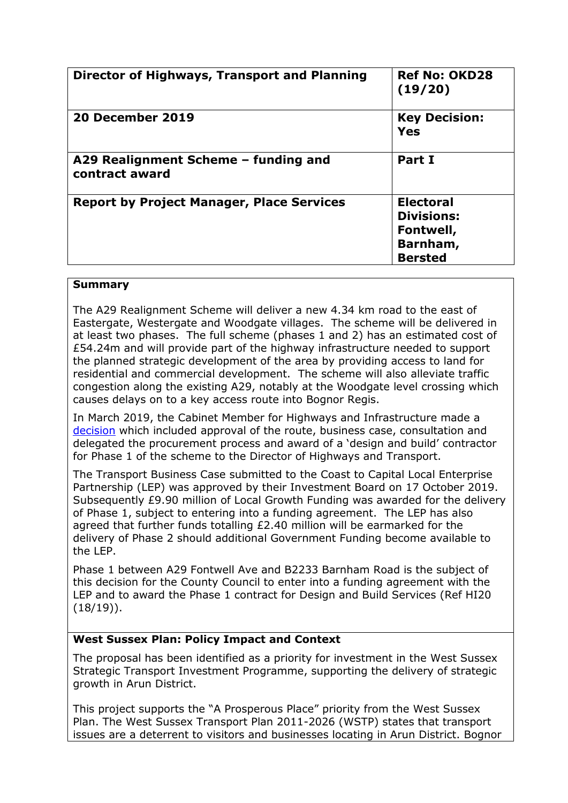| Director of Highways, Transport and Planning           | <b>Ref No: OKD28</b><br>(19/20)                                                  |
|--------------------------------------------------------|----------------------------------------------------------------------------------|
| 20 December 2019                                       | <b>Key Decision:</b><br>Yes                                                      |
| A29 Realignment Scheme - funding and<br>contract award | Part I                                                                           |
| <b>Report by Project Manager, Place Services</b>       | <b>Electoral</b><br><b>Divisions:</b><br>Fontwell,<br>Barnham,<br><b>Bersted</b> |

#### **Summary**

The A29 Realignment Scheme will deliver a new 4.34 km road to the east of Eastergate, Westergate and Woodgate villages. The scheme will be delivered in at least two phases. The full scheme (phases 1 and 2) has an estimated cost of £54.24m and will provide part of the highway infrastructure needed to support the planned strategic development of the area by providing access to land for residential and commercial development. The scheme will also alleviate traffic congestion along the existing A29, notably at the Woodgate level crossing which causes delays on to a key access route into Bognor Regis.

In March 2019, the Cabinet Member for Highways and Infrastructure made a [decision](https://westsussex.moderngov.co.uk/ieDecisionDetails.aspx?ID=519) which included approval of the route, business case, consultation and delegated the procurement process and award of a 'design and build' contractor for Phase 1 of the scheme to the Director of Highways and Transport.

The Transport Business Case submitted to the Coast to Capital Local Enterprise Partnership (LEP) was approved by their Investment Board on 17 October 2019. Subsequently £9.90 million of Local Growth Funding was awarded for the delivery of Phase 1, subject to entering into a funding agreement. The LEP has also agreed that further funds totalling £2.40 million will be earmarked for the delivery of Phase 2 should additional Government Funding become available to the LEP.

Phase 1 between A29 Fontwell Ave and B2233 Barnham Road is the subject of this decision for the County Council to enter into a funding agreement with the LEP and to award the Phase 1 contract for Design and Build Services (Ref HI20  $(18/19)$ .

#### **West Sussex Plan: Policy Impact and Context**

The proposal has been identified as a priority for investment in the West Sussex Strategic Transport Investment Programme, supporting the delivery of strategic growth in Arun District.

This project supports the "A Prosperous Place" priority from the West Sussex Plan. The West Sussex Transport Plan 2011-2026 (WSTP) states that transport issues are a deterrent to visitors and businesses locating in Arun District. Bognor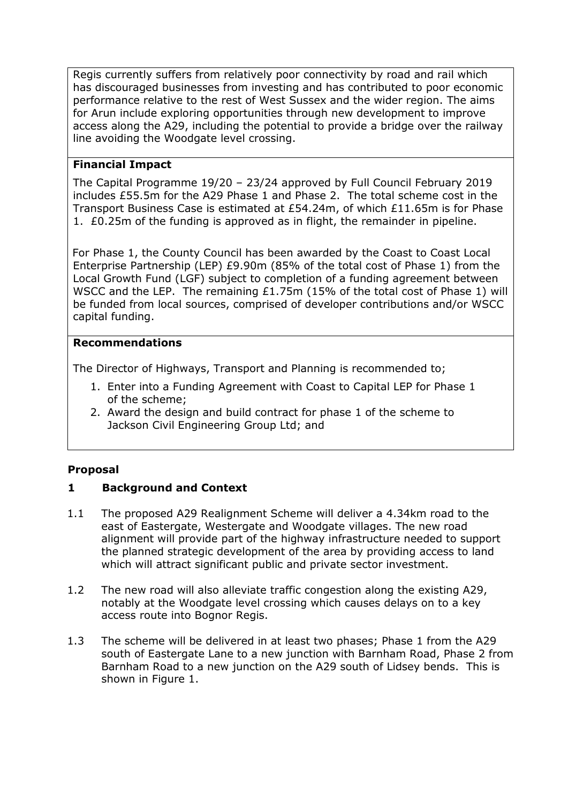Regis currently suffers from relatively poor connectivity by road and rail which has discouraged businesses from investing and has contributed to poor economic performance relative to the rest of West Sussex and the wider region. The aims for Arun include exploring opportunities through new development to improve access along the A29, including the potential to provide a bridge over the railway line avoiding the Woodgate level crossing.

# **Financial Impact**

The Capital Programme 19/20 – 23/24 approved by Full Council February 2019 includes £55.5m for the A29 Phase 1 and Phase 2. The total scheme cost in the Transport Business Case is estimated at £54.24m, of which £11.65m is for Phase 1. £0.25m of the funding is approved as in flight, the remainder in pipeline.

For Phase 1, the County Council has been awarded by the Coast to Coast Local Enterprise Partnership (LEP) £9.90m (85% of the total cost of Phase 1) from the Local Growth Fund (LGF) subject to completion of a funding agreement between WSCC and the LEP. The remaining  $£1.75m$  (15% of the total cost of Phase 1) will be funded from local sources, comprised of developer contributions and/or WSCC capital funding.

## **Recommendations**

The Director of Highways, Transport and Planning is recommended to;

- 1. Enter into a Funding Agreement with Coast to Capital LEP for Phase 1 of the scheme;
- 2. Award the design and build contract for phase 1 of the scheme to Jackson Civil Engineering Group Ltd; and

# **Proposal**

# **1 Background and Context**

- 1.1 The proposed A29 Realignment Scheme will deliver a 4.34km road to the east of Eastergate, Westergate and Woodgate villages. The new road alignment will provide part of the highway infrastructure needed to support the planned strategic development of the area by providing access to land which will attract significant public and private sector investment.
- 1.2 The new road will also alleviate traffic congestion along the existing A29, notably at the Woodgate level crossing which causes delays on to a key access route into Bognor Regis.
- 1.3 The scheme will be delivered in at least two phases; Phase 1 from the A29 south of Eastergate Lane to a new junction with Barnham Road, Phase 2 from Barnham Road to a new junction on the A29 south of Lidsey bends. This is shown in Figure 1.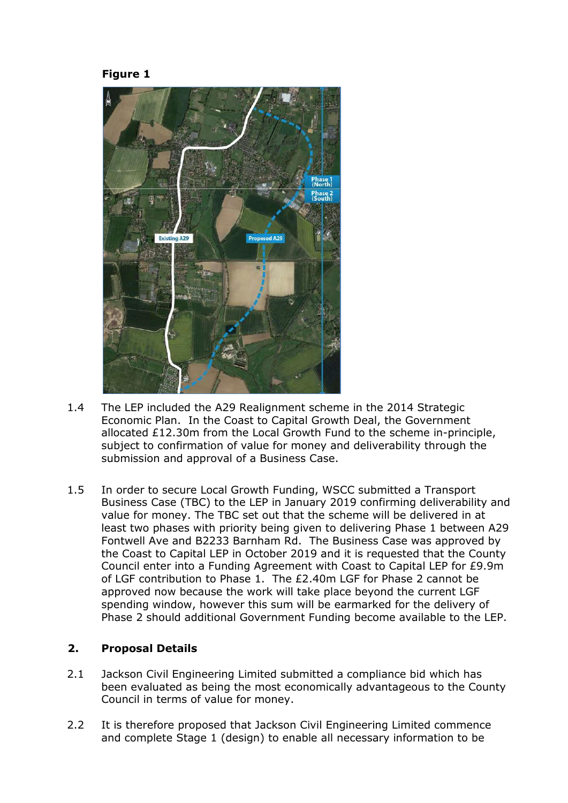



- 1.4 The LEP included the A29 Realignment scheme in the 2014 Strategic Economic Plan. In the Coast to Capital Growth Deal, the Government allocated £12.30m from the Local Growth Fund to the scheme in-principle, subject to confirmation of value for money and deliverability through the submission and approval of a Business Case.
- 1.5 In order to secure Local Growth Funding, WSCC submitted a Transport Business Case (TBC) to the LEP in January 2019 confirming deliverability and value for money. The TBC set out that the scheme will be delivered in at least two phases with priority being given to delivering Phase 1 between A29 Fontwell Ave and B2233 Barnham Rd. The Business Case was approved by the Coast to Capital LEP in October 2019 and it is requested that the County Council enter into a Funding Agreement with Coast to Capital LEP for £9.9m of LGF contribution to Phase 1. The £2.40m LGF for Phase 2 cannot be approved now because the work will take place beyond the current LGF spending window, however this sum will be earmarked for the delivery of Phase 2 should additional Government Funding become available to the LEP.

#### **2. Proposal Details**

- 2.1 Jackson Civil Engineering Limited submitted a compliance bid which has been evaluated as being the most economically advantageous to the County Council in terms of value for money.
- 2.2 It is therefore proposed that Jackson Civil Engineering Limited commence and complete Stage 1 (design) to enable all necessary information to be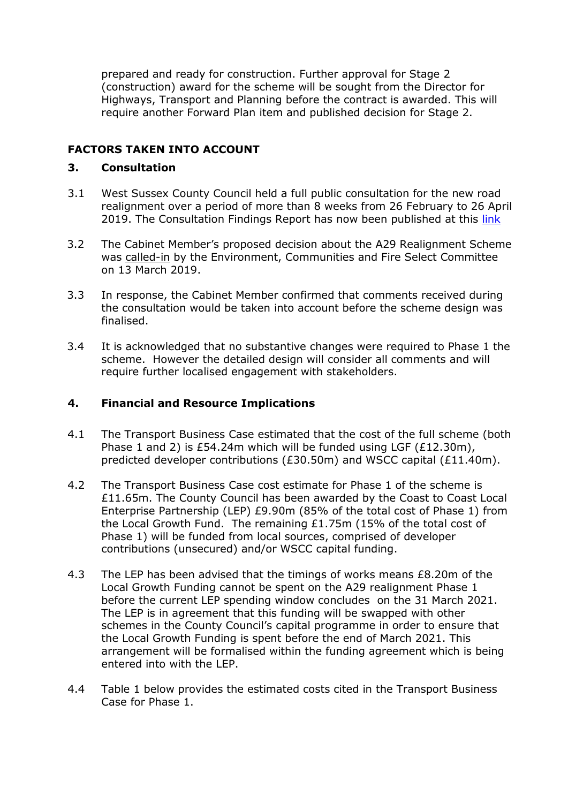prepared and ready for construction. Further approval for Stage 2 (construction) award for the scheme will be sought from the Director for Highways, Transport and Planning before the contract is awarded. This will require another Forward Plan item and published decision for Stage 2.

# **FACTORS TAKEN INTO ACCOUNT**

#### **3. Consultation**

- 3.1 West Sussex County Council held a full public consultation for the new road realignment over a period of more than 8 weeks from 26 February to 26 April 2019. The Consultation Findings Report has now been published at this [link](https://haveyoursay.westsussex.gov.uk/highways-and-transport/a29realignment/)
- 3.2 The Cabinet Member's proposed decision about the A29 Realignment Scheme was [called-in](https://westsussex.moderngov.co.uk/ieListDocuments.aspx?CId=163&MId=571&Ver=4) by the Environment, Communities and Fire Select Committee on 13 March 2019.
- 3.3 In response, the Cabinet Member confirmed that comments received during the consultation would be taken into account before the scheme design was finalised.
- 3.4 It is acknowledged that no substantive changes were required to Phase 1 the scheme. However the detailed design will consider all comments and will require further localised engagement with stakeholders.

#### **4. Financial and Resource Implications**

- 4.1 The Transport Business Case estimated that the cost of the full scheme (both Phase 1 and 2) is £54.24m which will be funded using LGF  $(E12.30m)$ , predicted developer contributions (£30.50m) and WSCC capital (£11.40m).
- 4.2 The Transport Business Case cost estimate for Phase 1 of the scheme is £11.65m. The County Council has been awarded by the Coast to Coast Local Enterprise Partnership (LEP) £9.90m (85% of the total cost of Phase 1) from the Local Growth Fund. The remaining £1.75m (15% of the total cost of Phase 1) will be funded from local sources, comprised of developer contributions (unsecured) and/or WSCC capital funding.
- 4.3 The LEP has been advised that the timings of works means £8.20m of the Local Growth Funding cannot be spent on the A29 realignment Phase 1 before the current LEP spending window concludes on the 31 March 2021. The LEP is in agreement that this funding will be swapped with other schemes in the County Council's capital programme in order to ensure that the Local Growth Funding is spent before the end of March 2021. This arrangement will be formalised within the funding agreement which is being entered into with the LEP.
- 4.4 Table 1 below provides the estimated costs cited in the Transport Business Case for Phase 1.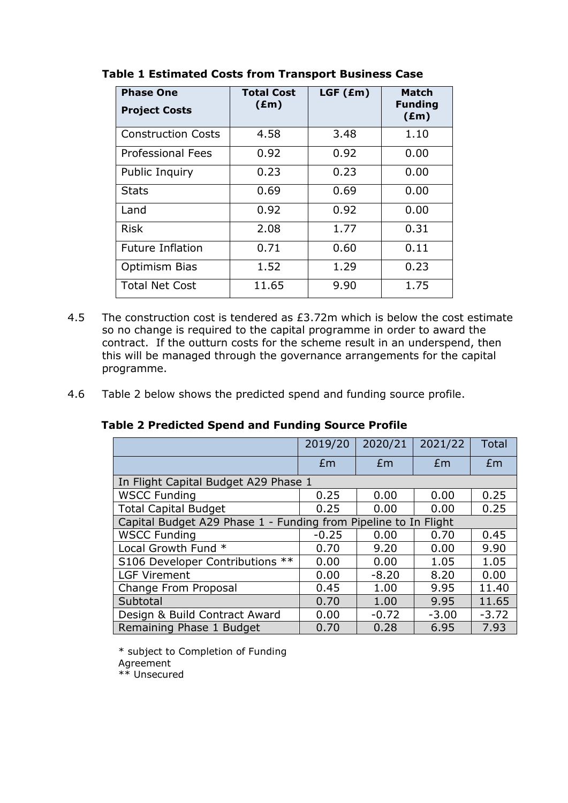| <b>Phase One</b><br><b>Project Costs</b> | <b>Total Cost</b><br>$(\text{Em})$ | $LGF$ ( $Em$ ) | <b>Match</b><br><b>Funding</b><br>$(\text{Em})$ |
|------------------------------------------|------------------------------------|----------------|-------------------------------------------------|
| <b>Construction Costs</b>                | 4.58                               | 3.48           | 1.10                                            |
| Professional Fees                        | 0.92                               | 0.92           | 0.00                                            |
| Public Inquiry                           | 0.23                               | 0.23           | 0.00                                            |
| Stats                                    | 0.69                               | 0.69           | 0.00                                            |
| Land                                     | 0.92                               | 0.92           | 0.00                                            |
| <b>Risk</b>                              | 2.08                               | 1.77           | 0.31                                            |
| <b>Future Inflation</b>                  | 0.71                               | 0.60           | 0.11                                            |
| Optimism Bias                            | 1.52                               | 1.29           | 0.23                                            |
| <b>Total Net Cost</b>                    | 11.65                              | 9.90           | 1.75                                            |

# **Table 1 Estimated Costs from Transport Business Case**

- 4.5 The construction cost is tendered as £3.72m which is below the cost estimate so no change is required to the capital programme in order to award the contract. If the outturn costs for the scheme result in an underspend, then this will be managed through the governance arrangements for the capital programme.
- 4.6 Table 2 below shows the predicted spend and funding source profile.

|  |  | 2019/20   2020/21   2021/22   Total |  |
|--|--|-------------------------------------|--|
|  |  | f m                                 |  |

|  | <b>Table 2 Predicted Spend and Funding Source Profile</b> |  |  |  |
|--|-----------------------------------------------------------|--|--|--|
|  |                                                           |  |  |  |

|                                                                 | Em      | Em      | Em      | Em      |  |  |
|-----------------------------------------------------------------|---------|---------|---------|---------|--|--|
| In Flight Capital Budget A29 Phase 1                            |         |         |         |         |  |  |
| <b>WSCC Funding</b>                                             | 0.25    | 0.00    | 0.00    | 0.25    |  |  |
| <b>Total Capital Budget</b>                                     | 0.25    | 0.00    | 0.00    | 0.25    |  |  |
| Capital Budget A29 Phase 1 - Funding from Pipeline to In Flight |         |         |         |         |  |  |
| <b>WSCC Funding</b>                                             | $-0.25$ | 0.00    | 0.70    | 0.45    |  |  |
| Local Growth Fund *                                             | 0.70    | 9.20    | 0.00    | 9.90    |  |  |
| S106 Developer Contributions **                                 | 0.00    | 0.00    | 1.05    | 1.05    |  |  |
| <b>LGF Virement</b>                                             | 0.00    | $-8.20$ | 8.20    | 0.00    |  |  |
| Change From Proposal                                            | 0.45    | 1.00    | 9.95    | 11.40   |  |  |
| Subtotal                                                        | 0.70    | 1.00    | 9.95    | 11.65   |  |  |
| Design & Build Contract Award                                   | 0.00    | $-0.72$ | $-3.00$ | $-3.72$ |  |  |
| Remaining Phase 1 Budget                                        | 0.70    | 0.28    | 6.95    | 7.93    |  |  |

\* subject to Completion of Funding Agreement \*\* Unsecured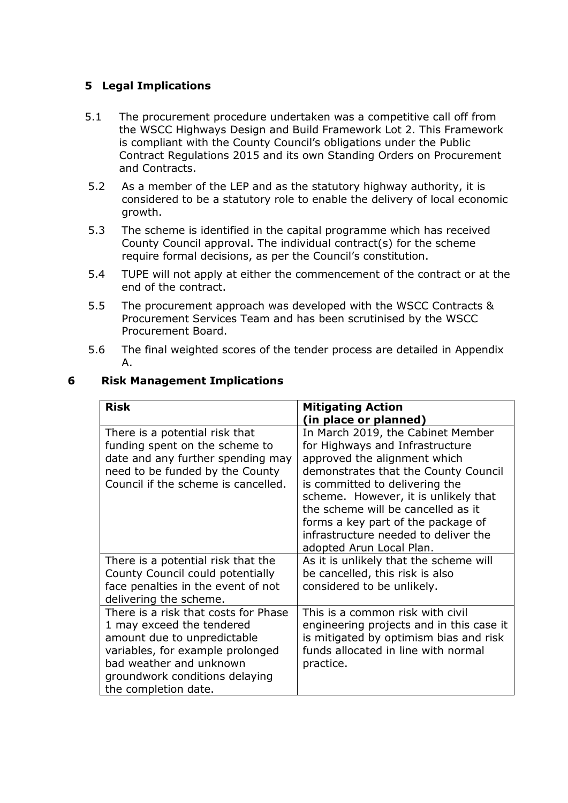# **5 Legal Implications**

- 5.1 The procurement procedure undertaken was a competitive call off from the WSCC Highways Design and Build Framework Lot 2. This Framework is compliant with the County Council's obligations under the Public Contract Regulations 2015 and its own Standing Orders on Procurement and Contracts.
- 5.2 As a member of the LEP and as the statutory highway authority, it is considered to be a statutory role to enable the delivery of local economic growth.
- 5.3 The scheme is identified in the capital programme which has received County Council approval. The individual contract(s) for the scheme require formal decisions, as per the Council's constitution.
- 5.4 TUPE will not apply at either the commencement of the contract or at the end of the contract.
- 5.5 The procurement approach was developed with the WSCC Contracts & Procurement Services Team and has been scrutinised by the WSCC Procurement Board.
- 5.6 The final weighted scores of the tender process are detailed in Appendix A.

#### **6 Risk Management Implications**

| <b>Risk</b>                          | <b>Mitigating Action</b>                 |
|--------------------------------------|------------------------------------------|
|                                      | (in place or planned)                    |
| There is a potential risk that       | In March 2019, the Cabinet Member        |
| funding spent on the scheme to       | for Highways and Infrastructure          |
| date and any further spending may    | approved the alignment which             |
| need to be funded by the County      | demonstrates that the County Council     |
| Council if the scheme is cancelled.  | is committed to delivering the           |
|                                      | scheme. However, it is unlikely that     |
|                                      | the scheme will be cancelled as it       |
|                                      | forms a key part of the package of       |
|                                      | infrastructure needed to deliver the     |
|                                      | adopted Arun Local Plan.                 |
| There is a potential risk that the   | As it is unlikely that the scheme will   |
| County Council could potentially     | be cancelled, this risk is also          |
| face penalties in the event of not   | considered to be unlikely.               |
| delivering the scheme.               |                                          |
| There is a risk that costs for Phase | This is a common risk with civil         |
| 1 may exceed the tendered            | engineering projects and in this case it |
| amount due to unpredictable          | is mitigated by optimism bias and risk   |
| variables, for example prolonged     | funds allocated in line with normal      |
| bad weather and unknown              | practice.                                |
| groundwork conditions delaying       |                                          |
| the completion date.                 |                                          |